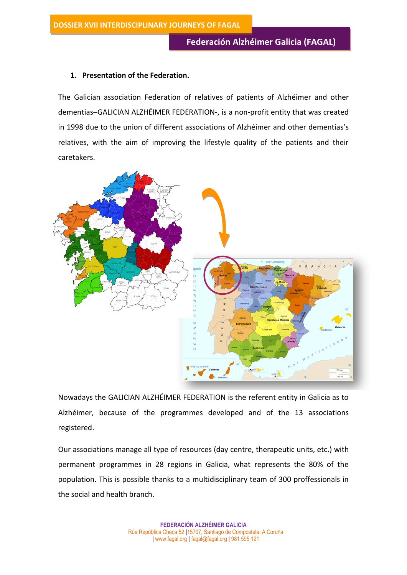## **1. Presentation of the Federation.**

The Galician association Federation of relatives of patients of Alzhéimer and other dementias–GALICIAN ALZHÉIMER FEDERATION-, is a non-profit entity that was created in 1998 due to the union of different associations of Alzhéimer and other dementias's relatives, with the aim of improving the lifestyle quality of the patients and their caretakers.



Nowadays the GALICIAN ALZHÉIMER FEDERATION is the referent entity in Galicia as to Alzhéimer, because of the programmes developed and of the 13 associations registered.

Our associations manage all type of resources (day centre, therapeutic units, etc.) with permanent programmes in 28 regions in Galicia, what represents the 80% of the population. This is possible thanks to a multidisciplinary team of 300 proffessionals in the social and health branch.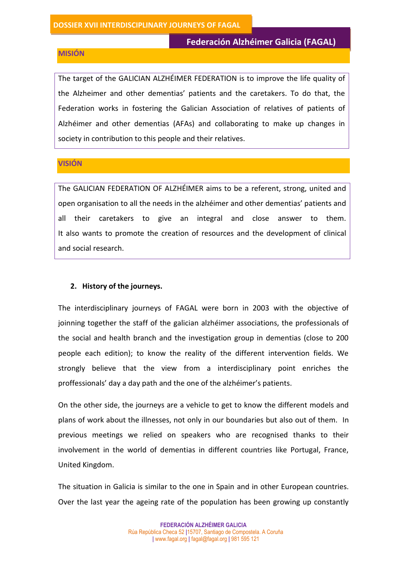# **Federación Alzhéimer Galicia (FAGAL)**

#### **MISIÓN**

The target of the GALICIAN ALZHÉIMER FEDERATION is to improve the life quality of the Alzheimer and other dementias' patients and the caretakers. To do that, the Federation works in fostering the Galician Association of relatives of patients of Alzhéimer and other dementias (AFAs) and collaborating to make up changes in society in contribution to this people and their relatives.

### **VISIÓN**

The GALICIAN FEDERATION OF ALZHÉIMER aims to be a referent, strong, united and open organisation to all the needs in the alzhéimer and other dementias' patients and all their caretakers to give an integral and close answer to them. It also wants to promote the creation of resources and the development of clinical and social research.

### **2. History of the journeys.**

The interdisciplinary journeys of FAGAL were born in 2003 with the objective of joinning together the staff of the galician alzhéimer associations, the professionals of the social and health branch and the investigation group in dementias (close to 200 people each edition); to know the reality of the different intervention fields. We strongly believe that the view from a interdisciplinary point enriches the proffessionals' day a day path and the one of the alzhéimer's patients.

On the other side, the journeys are a vehicle to get to know the different models and plans of work about the illnesses, not only in our boundaries but also out of them. In previous meetings we relied on speakers who are recognised thanks to their involvement in the world of dementias in different countries like Portugal, France, United Kingdom.

The situation in Galicia is similar to the one in Spain and in other European countries. Over the last year the ageing rate of the population has been growing up constantly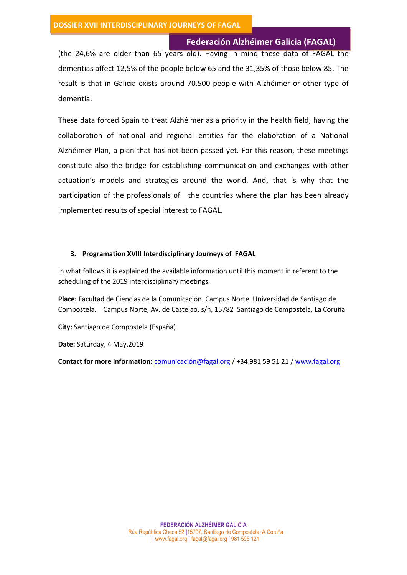**Federación Alzhéimer Galicia (FAGAL)**

(the 24,6% are older than 65 years old). Having in mind these data of FAGAL the dementias affect 12,5% of the people below 65 and the 31,35% of those below 85. The result is that in Galicia exists around 70.500 people with Alzhéimer or other type of dementia.

These data forced Spain to treat Alzhéimer as a priority in the health field, having the collaboration of national and regional entities for the elaboration of a National Alzhéimer Plan, a plan that has not been passed yet. For this reason, these meetings constitute also the bridge for establishing communication and exchanges with other actuation's models and strategies around the world. And, that is why that the participation of the professionals of the countries where the plan has been already implemented results of special interest to FAGAL.

#### **3. Programation XVIII Interdisciplinary Journeys of FAGAL**

In what follows it is explained the available information until this moment in referent to the scheduling of the 2019 interdisciplinary meetings.

**Place:** Facultad de Ciencias de la Comunicación. Campus Norte. Universidad de Santiago de Compostela. Campus Norte, Av. de Castelao, s/n, 15782 Santiago de Compostela, La Coruña

**City:** Santiago de Compostela (España)

**Date:** Saturday, 4 May,2019

**Contact for more information:** [comunicación@fagal.org](mailto:comunicación@fagal.org) / +34 981 59 51 21 / [www.fagal.org](http://www.fagal.org/)